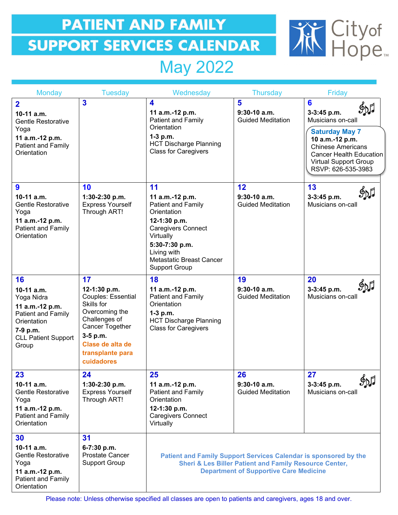## **PATIENT AND FAMILY** SUPPORT SERVICES CALENDAR



## May 2022

| <b>Monday</b>                                                                                                                             | <b>Tuesday</b>                                                                                                                                                                 | Wednesday                                                                                                                                                                                                 | <b>Thursday</b>                                                                                                    | Friday                                                                                                                                                                                                             |
|-------------------------------------------------------------------------------------------------------------------------------------------|--------------------------------------------------------------------------------------------------------------------------------------------------------------------------------|-----------------------------------------------------------------------------------------------------------------------------------------------------------------------------------------------------------|--------------------------------------------------------------------------------------------------------------------|--------------------------------------------------------------------------------------------------------------------------------------------------------------------------------------------------------------------|
| $\overline{\mathbf{2}}$<br>10-11 a.m.<br><b>Gentle Restorative</b><br>Yoga<br>11 a.m.-12 p.m.<br>Patient and Family<br>Orientation        | $\overline{\mathbf{3}}$                                                                                                                                                        | 4<br>11 a.m.-12 p.m.<br>Patient and Family<br>Orientation<br>1-3 p.m.<br><b>HCT Discharge Planning</b><br><b>Class for Caregivers</b>                                                                     | $5\phantom{1}$<br>$9:30-10$ a.m.<br><b>Guided Meditation</b>                                                       | $6\phantom{a}$<br>3-3:45 p.m.<br>Musicians on-call<br><b>Saturday May 7</b><br>10 a.m.-12 p.m.<br><b>Chinese Americans</b><br><b>Cancer Health Education</b><br><b>Virtual Support Group</b><br>RSVP: 626-535-3983 |
| 9<br>10-11 a.m.<br><b>Gentle Restorative</b><br>Yoga<br>11 a.m.-12 p.m.<br>Patient and Family<br>Orientation                              | 10<br>1:30-2:30 p.m.<br><b>Express Yourself</b><br>Through ART!                                                                                                                | 11<br>11 a.m.-12 p.m.<br>Patient and Family<br>Orientation<br>12-1:30 p.m.<br><b>Caregivers Connect</b><br>Virtually<br>5:30-7:30 p.m.<br>Living with<br>Metastatic Breast Cancer<br><b>Support Group</b> | 12<br>$9:30-10$ a.m.<br><b>Guided Meditation</b>                                                                   | 13<br>3-3:45 p.m.<br>Musicians on-call                                                                                                                                                                             |
| 16<br>10-11 a.m.<br>Yoga Nidra<br>11 a.m.-12 p.m.<br>Patient and Family<br>Orientation<br>7-9 p.m.<br><b>CLL Patient Support</b><br>Group | 17<br>12-1:30 p.m.<br>Couples: Essential<br>Skills for<br>Overcoming the<br>Challenges of<br>Cancer Together<br>3-5 p.m.<br>Clase de alta de<br>transplante para<br>cuidadores | 18<br>11 a.m.-12 p.m.<br><b>Patient and Family</b><br>Orientation<br>$1-3$ p.m.<br><b>HCT Discharge Planning</b><br><b>Class for Caregivers</b>                                                           | 19<br>$9:30-10$ a.m.<br><b>Guided Meditation</b>                                                                   | 20<br>907<br>3-3:45 p.m.<br>Musicians on-call                                                                                                                                                                      |
| 23<br>10-11 $a.m.$<br>Gentle Restorative<br>Yoga<br>11 a.m.-12 p.m.<br>Patient and Family<br>Orientation                                  | 24<br>1:30-2:30 p.m.<br><b>Express Yourself</b><br>Through ART!                                                                                                                | 25<br>11 a.m.-12 p.m.<br>Patient and Family<br>Orientation<br>12-1:30 p.m.<br><b>Caregivers Connect</b><br>Virtually                                                                                      | 26<br>$9:30-10$ a.m.<br><b>Guided Meditation</b>                                                                   | 27<br>$\Omega$<br>$\mathfrak{HJ}$<br>3-3:45 p.m.<br>Musicians on-call                                                                                                                                              |
| 30<br>10-11 a.m.<br><b>Gentle Restorative</b><br>Yoga<br>11 a.m.-12 p.m.<br>Patient and Family<br>Orientation                             | 31<br>6-7:30 p.m.<br>Prostate Cancer<br><b>Support Group</b>                                                                                                                   | Patient and Family Support Services Calendar is sponsored by the                                                                                                                                          | <b>Sheri &amp; Les Biller Patient and Family Resource Center,</b><br><b>Department of Supportive Care Medicine</b> |                                                                                                                                                                                                                    |